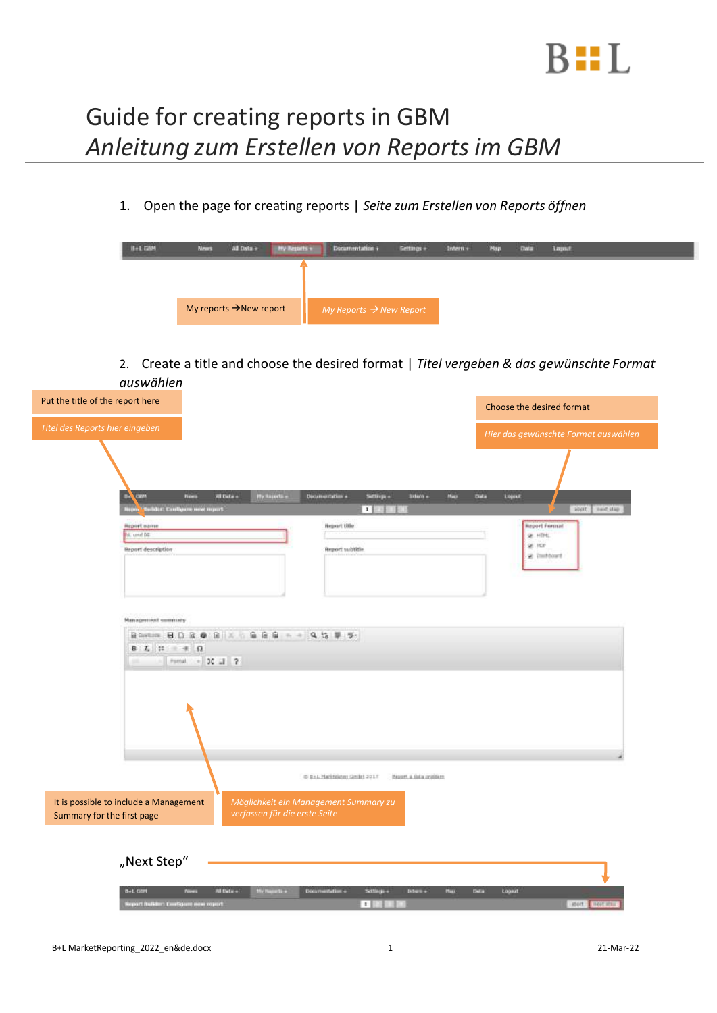

## Guide for creating reports in GBM *Anleitung zum Erstellen von Reportsim GBM*

1. Open the page for creating reports | *Seite zum Erstellen von Reports öffnen*

| My reports $\rightarrow$ New report | $My$ Reports $\rightarrow$ New Report |  |  |  |  |
|-------------------------------------|---------------------------------------|--|--|--|--|

2. Create a title and choose the desired format | *Titel vergeben & das gewünschte Format auswählen*

| Put the title of the report here                                     |                                                                             |                                                                                                | Choose the desired format             |
|----------------------------------------------------------------------|-----------------------------------------------------------------------------|------------------------------------------------------------------------------------------------|---------------------------------------|
| Titel des Reports hier eingeben                                      |                                                                             |                                                                                                | Hier das gewünschte Format auswählen  |
| <b>CEM</b>                                                           | All Data +<br>My Happy to -<br><b>Ricers</b><br>wilder: Configure new mport | <b>Documentation +</b><br>Settings +<br>listen =<br>Map<br>1.1111                              | Data<br>Lopput<br>abot. suit stap     |
| Report name<br>N. und DE                                             |                                                                             | Heport title                                                                                   | Report Format<br>SR. HTML             |
| <b>Report description</b>                                            |                                                                             | Report subtitle                                                                                | SE PDP<br>@ Diethboard                |
| Management summary                                                   |                                                                             |                                                                                                |                                       |
| $B \quad L \quad \mathbb{H} \qquad \quad \mathbb{H} \quad \Omega$    | Bitetim HDROBIX 6 高高自 - - Q.5 単 型<br>Parroll + 30 LT 2                      |                                                                                                |                                       |
| It is possible to include a Management<br>Summary for the first page | verfassen für die erste Seite                                               | C E+L Hatitriaten Gmist 2017<br>theset a data problem<br>Möglichkeit ein Management Summary zu |                                       |
| "Next Step"<br><b>B+L GEM</b><br>Report Bulkber Configure new report | <b>Nivers</b><br>All Deta +<br><b>We Namely +</b>                           | Documentation +<br>Settings +<br>Plus !<br><b>Internal</b><br><b>THEFT</b>                     | Della<br><b>Logitat</b><br>Hort Hotel |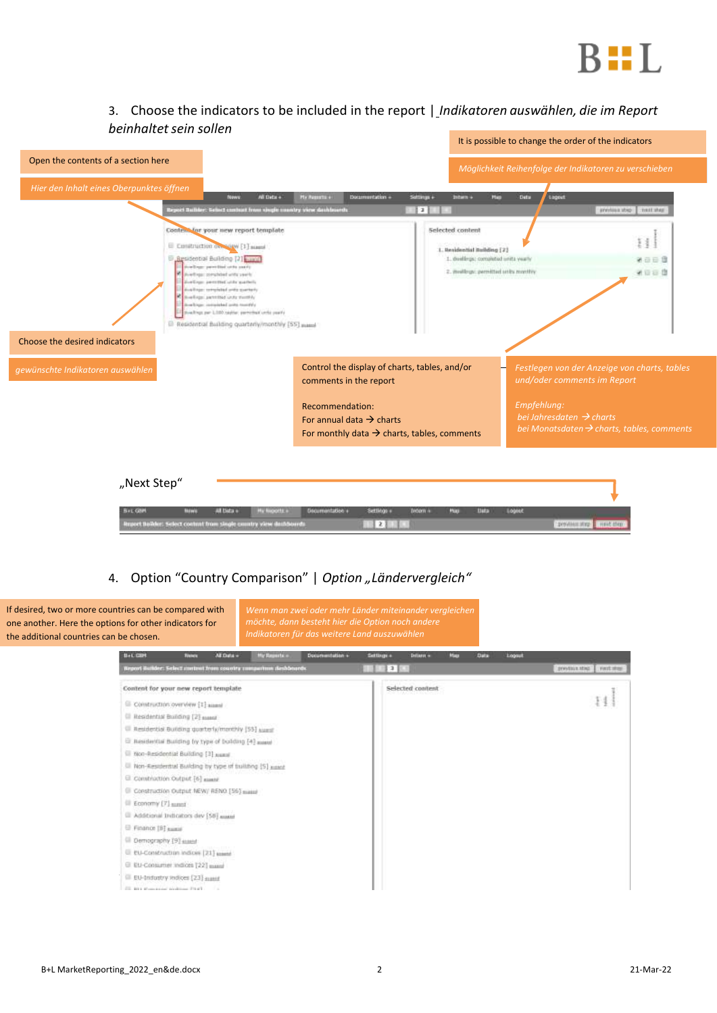

3. Choose the indicators to be included in the report | *Indikatoren auswählen, die im Report beinhaltetsein sollen*



## 4. Option "Country Comparison" | Option "Ländervergleich"

| the additional countries can be chosen. | If desired, two or more countries can be compared with<br>one another. Here the options for other indicators for | Wenn man zwei oder mehr Länder miteinander vergleichen<br>möchte, dann besteht hier die Option noch andere<br>Indikatoren für das weitere Land auszuwählen |  |                        |             |      |        |                             |
|-----------------------------------------|------------------------------------------------------------------------------------------------------------------|------------------------------------------------------------------------------------------------------------------------------------------------------------|--|------------------------|-------------|------|--------|-----------------------------|
|                                         | <b>Topsex</b><br><b>Al Data +</b><br><b>BAC GIPS</b>                                                             | My Reports of<br>Documentation +                                                                                                                           |  | Settings +<br>Driarn = | <b>Mars</b> | Data | Logaut |                             |
|                                         | Inport Builder: Select mutual from country magazines deshboards                                                  |                                                                                                                                                            |  | 3 1 1                  |             |      |        | prestiga stick<br>rantains. |
|                                         | Content for your new report template                                                                             |                                                                                                                                                            |  | Selected content       |             |      |        |                             |
|                                         | Eli Construction overview [1] again                                                                              |                                                                                                                                                            |  |                        |             |      |        | łŦ.                         |
|                                         | <sup>(2)</sup> Residential Building [2] supplies                                                                 |                                                                                                                                                            |  |                        |             |      |        |                             |
|                                         | Il Residential Building quarterly/monthly [55] agest                                                             |                                                                                                                                                            |  |                        |             |      |        |                             |
|                                         | El Besidential Building by type of building [4] asset                                                            |                                                                                                                                                            |  |                        |             |      |        |                             |
|                                         | El Non-Residential Building [3] Assesi                                                                           |                                                                                                                                                            |  |                        |             |      |        |                             |
|                                         | Il Non-Residential Building by type of building [5] want                                                         |                                                                                                                                                            |  |                        |             |      |        |                             |
|                                         | El Construction Output [6] assert                                                                                |                                                                                                                                                            |  |                        |             |      |        |                             |
|                                         | El Construction Output NEW/ RENO [56] mass                                                                       |                                                                                                                                                            |  |                        |             |      |        |                             |
|                                         | Economy [7] sured                                                                                                |                                                                                                                                                            |  |                        |             |      |        |                             |
|                                         | El Additional Indicators dev [58] again                                                                          |                                                                                                                                                            |  |                        |             |      |        |                             |
|                                         | Finance [B] essesi                                                                                               |                                                                                                                                                            |  |                        |             |      |        |                             |
|                                         | Demography [9] assest                                                                                            |                                                                                                                                                            |  |                        |             |      |        |                             |
|                                         | E EU-Construction indices [21] spent                                                                             |                                                                                                                                                            |  |                        |             |      |        |                             |
|                                         | El EU-Consumer indices [22] massi-                                                                               |                                                                                                                                                            |  |                        |             |      |        |                             |
|                                         | E EU-Industry redices [23] asset                                                                                 |                                                                                                                                                            |  |                        |             |      |        |                             |
|                                         | CO., \$3.5 Westmann's traditional FM all -                                                                       |                                                                                                                                                            |  |                        |             |      |        |                             |